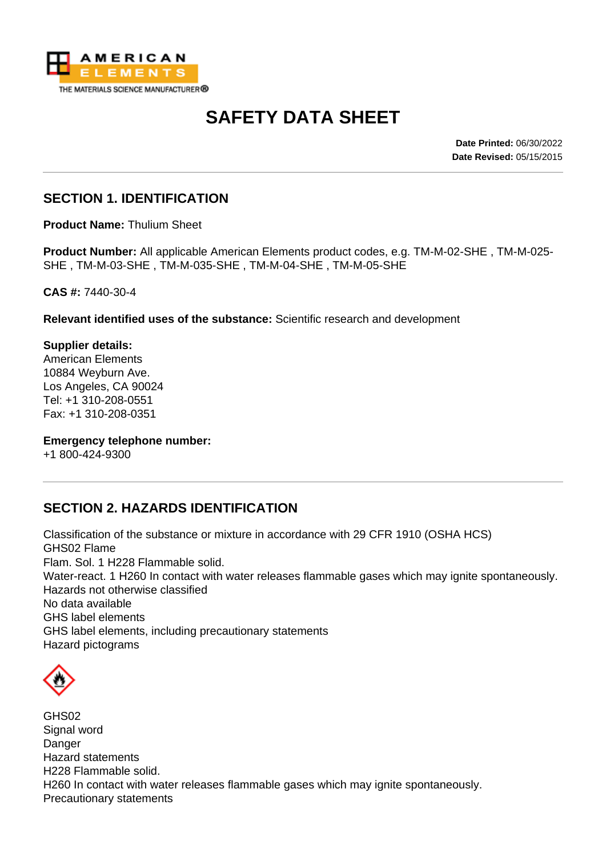

# **SAFETY DATA SHEET**

**Date Printed:** 06/30/2022 **Date Revised:** 05/15/2015

## **SECTION 1. IDENTIFICATION**

**Product Name:** Thulium Sheet

**Product Number:** All applicable American Elements product codes, e.g. TM-M-02-SHE , TM-M-025- SHE , TM-M-03-SHE , TM-M-035-SHE , TM-M-04-SHE , TM-M-05-SHE

**CAS #:** 7440-30-4

**Relevant identified uses of the substance:** Scientific research and development

**Supplier details:** American Elements 10884 Weyburn Ave. Los Angeles, CA 90024 Tel: +1 310-208-0551 Fax: +1 310-208-0351

**Emergency telephone number:**

+1 800-424-9300

#### **SECTION 2. HAZARDS IDENTIFICATION**

Classification of the substance or mixture in accordance with 29 CFR 1910 (OSHA HCS) GHS02 Flame Flam. Sol. 1 H228 Flammable solid. Water-react. 1 H260 In contact with water releases flammable gases which may ignite spontaneously. Hazards not otherwise classified No data available GHS label elements GHS label elements, including precautionary statements Hazard pictograms



GHS02 Signal word Danger Hazard statements H228 Flammable solid. H260 In contact with water releases flammable gases which may ignite spontaneously. Precautionary statements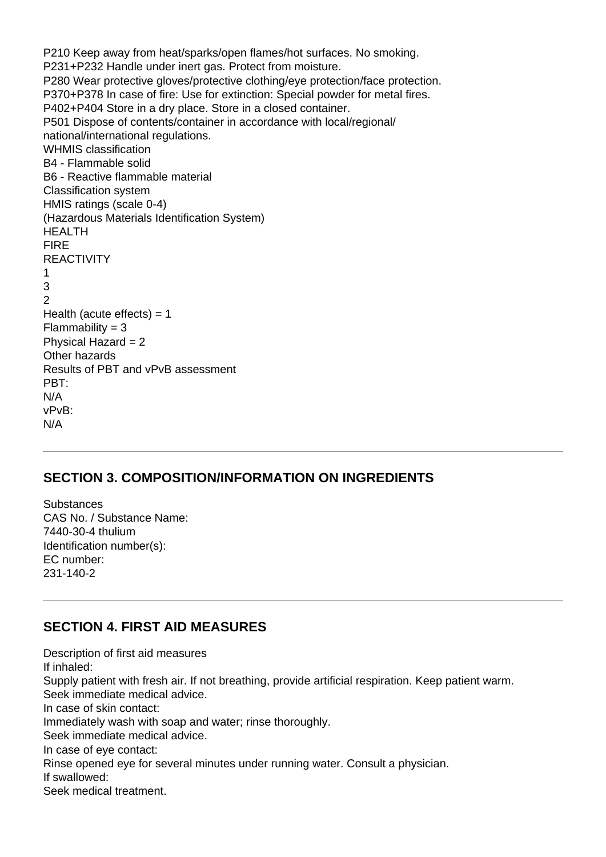P210 Keep away from heat/sparks/open flames/hot surfaces. No smoking. P231+P232 Handle under inert gas. Protect from moisture. P280 Wear protective gloves/protective clothing/eye protection/face protection. P370+P378 In case of fire: Use for extinction: Special powder for metal fires. P402+P404 Store in a dry place. Store in a closed container. P501 Dispose of contents/container in accordance with local/regional/ national/international regulations. WHMIS classification B4 - Flammable solid B6 - Reactive flammable material Classification system HMIS ratings (scale 0-4) (Hazardous Materials Identification System) HEALTH FIRE **REACTIVITY** 1 3  $\mathfrak{p}$ Health (acute effects)  $= 1$  $Flammability = 3$ Physical Hazard = 2 Other hazards Results of PBT and vPvB assessment PBT: N/A vPvB: N/A

#### **SECTION 3. COMPOSITION/INFORMATION ON INGREDIENTS**

**Substances** CAS No. / Substance Name: 7440-30-4 thulium Identification number(s): EC number: 231-140-2

#### **SECTION 4. FIRST AID MEASURES**

Description of first aid measures If inhaled: Supply patient with fresh air. If not breathing, provide artificial respiration. Keep patient warm. Seek immediate medical advice. In case of skin contact: Immediately wash with soap and water; rinse thoroughly. Seek immediate medical advice. In case of eye contact: Rinse opened eye for several minutes under running water. Consult a physician. If swallowed: Seek medical treatment.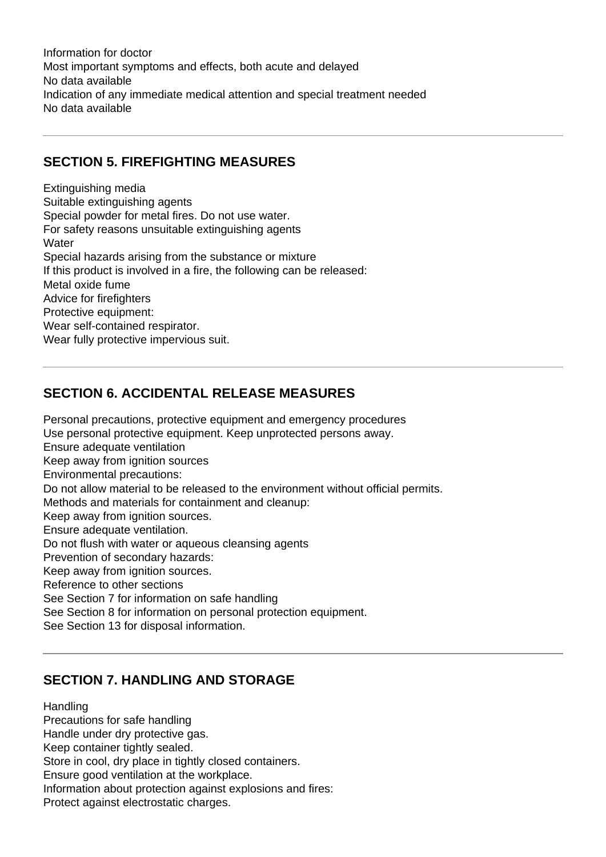Information for doctor Most important symptoms and effects, both acute and delayed No data available Indication of any immediate medical attention and special treatment needed No data available

## **SECTION 5. FIREFIGHTING MEASURES**

Extinguishing media Suitable extinguishing agents Special powder for metal fires. Do not use water. For safety reasons unsuitable extinguishing agents **Water** Special hazards arising from the substance or mixture If this product is involved in a fire, the following can be released: Metal oxide fume Advice for firefighters Protective equipment: Wear self-contained respirator. Wear fully protective impervious suit.

# **SECTION 6. ACCIDENTAL RELEASE MEASURES**

Personal precautions, protective equipment and emergency procedures Use personal protective equipment. Keep unprotected persons away. Ensure adequate ventilation Keep away from ignition sources Environmental precautions: Do not allow material to be released to the environment without official permits. Methods and materials for containment and cleanup: Keep away from ignition sources. Ensure adequate ventilation. Do not flush with water or aqueous cleansing agents Prevention of secondary hazards: Keep away from ignition sources. Reference to other sections See Section 7 for information on safe handling See Section 8 for information on personal protection equipment. See Section 13 for disposal information.

## **SECTION 7. HANDLING AND STORAGE**

**Handling** Precautions for safe handling Handle under dry protective gas. Keep container tightly sealed. Store in cool, dry place in tightly closed containers. Ensure good ventilation at the workplace. Information about protection against explosions and fires: Protect against electrostatic charges.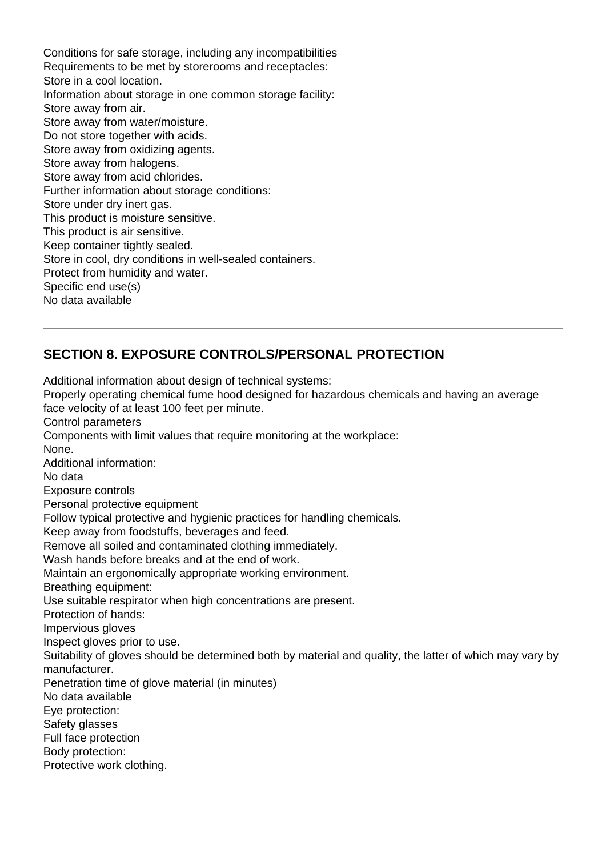Conditions for safe storage, including any incompatibilities Requirements to be met by storerooms and receptacles: Store in a cool location. Information about storage in one common storage facility: Store away from air. Store away from water/moisture. Do not store together with acids. Store away from oxidizing agents. Store away from halogens. Store away from acid chlorides. Further information about storage conditions: Store under dry inert gas. This product is moisture sensitive. This product is air sensitive. Keep container tightly sealed. Store in cool, dry conditions in well-sealed containers. Protect from humidity and water. Specific end use(s) No data available

# **SECTION 8. EXPOSURE CONTROLS/PERSONAL PROTECTION**

Additional information about design of technical systems: Properly operating chemical fume hood designed for hazardous chemicals and having an average face velocity of at least 100 feet per minute. Control parameters Components with limit values that require monitoring at the workplace: None. Additional information: No data Exposure controls Personal protective equipment Follow typical protective and hygienic practices for handling chemicals. Keep away from foodstuffs, beverages and feed. Remove all soiled and contaminated clothing immediately. Wash hands before breaks and at the end of work. Maintain an ergonomically appropriate working environment. Breathing equipment: Use suitable respirator when high concentrations are present. Protection of hands: Impervious gloves Inspect gloves prior to use. Suitability of gloves should be determined both by material and quality, the latter of which may vary by manufacturer. Penetration time of glove material (in minutes) No data available Eye protection: Safety glasses Full face protection Body protection: Protective work clothing.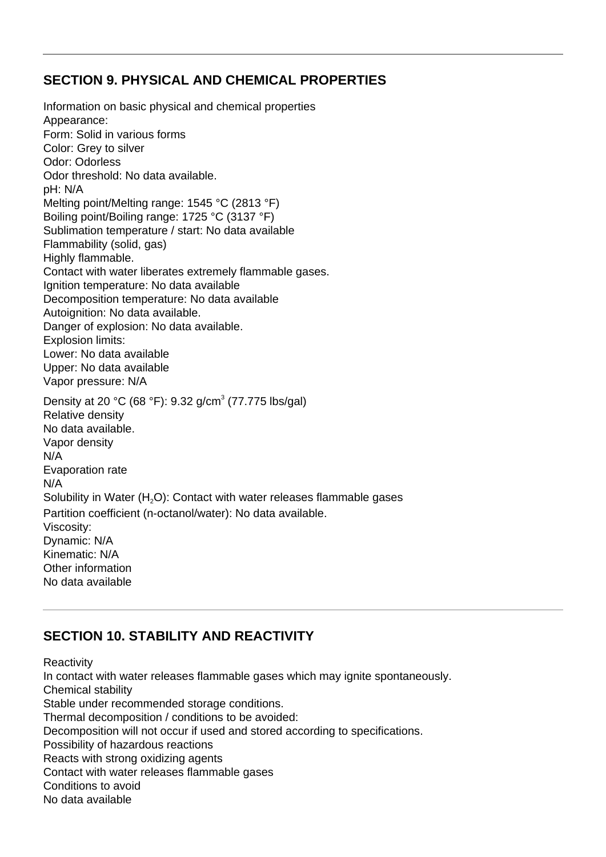#### **SECTION 9. PHYSICAL AND CHEMICAL PROPERTIES**

Information on basic physical and chemical properties Appearance: Form: Solid in various forms Color: Grey to silver Odor: Odorless Odor threshold: No data available. pH: N/A Melting point/Melting range: 1545 °C (2813 °F) Boiling point/Boiling range: 1725 °C (3137 °F) Sublimation temperature / start: No data available Flammability (solid, gas) Highly flammable. Contact with water liberates extremely flammable gases. Ignition temperature: No data available Decomposition temperature: No data available Autoignition: No data available. Danger of explosion: No data available. Explosion limits: Lower: No data available Upper: No data available Vapor pressure: N/A Density at 20 °C (68 °F): 9.32 g/cm<sup>3</sup> (77.775 lbs/gal) Relative density No data available. Vapor density N/A Evaporation rate N/A Solubility in Water  $(H<sub>2</sub>O)$ : Contact with water releases flammable gases Partition coefficient (n-octanol/water): No data available. Viscosity: Dynamic: N/A Kinematic: N/A Other information No data available

## **SECTION 10. STABILITY AND REACTIVITY**

**Reactivity** In contact with water releases flammable gases which may ignite spontaneously. Chemical stability Stable under recommended storage conditions. Thermal decomposition / conditions to be avoided: Decomposition will not occur if used and stored according to specifications. Possibility of hazardous reactions Reacts with strong oxidizing agents Contact with water releases flammable gases Conditions to avoid No data available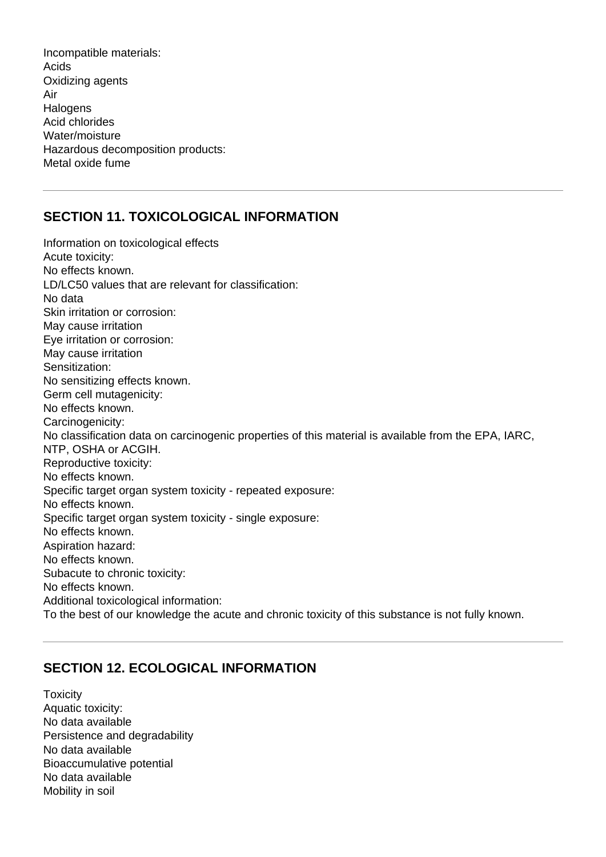Incompatible materials: Acids Oxidizing agents Air **Halogens** Acid chlorides Water/moisture Hazardous decomposition products: Metal oxide fume

## **SECTION 11. TOXICOLOGICAL INFORMATION**

Information on toxicological effects Acute toxicity: No effects known. LD/LC50 values that are relevant for classification: No data Skin irritation or corrosion: May cause irritation Eye irritation or corrosion: May cause irritation Sensitization: No sensitizing effects known. Germ cell mutagenicity: No effects known. Carcinogenicity: No classification data on carcinogenic properties of this material is available from the EPA, IARC, NTP, OSHA or ACGIH. Reproductive toxicity: No effects known. Specific target organ system toxicity - repeated exposure: No effects known. Specific target organ system toxicity - single exposure: No effects known. Aspiration hazard: No effects known. Subacute to chronic toxicity: No effects known. Additional toxicological information: To the best of our knowledge the acute and chronic toxicity of this substance is not fully known.

#### **SECTION 12. ECOLOGICAL INFORMATION**

**Toxicity** Aquatic toxicity: No data available Persistence and degradability No data available Bioaccumulative potential No data available Mobility in soil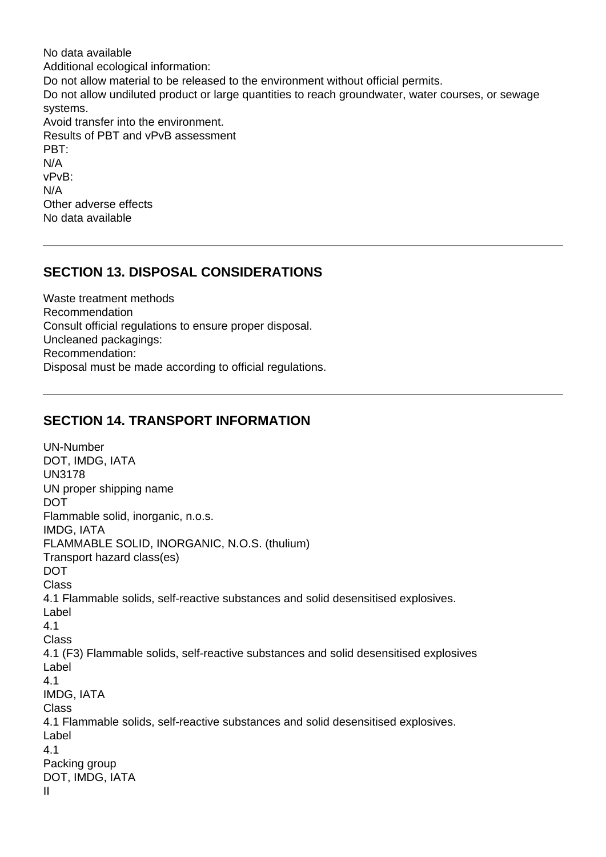No data available Additional ecological information: Do not allow material to be released to the environment without official permits. Do not allow undiluted product or large quantities to reach groundwater, water courses, or sewage systems. Avoid transfer into the environment. Results of PBT and vPvB assessment PBT: N/A vPvB: N/A Other adverse effects No data available

#### **SECTION 13. DISPOSAL CONSIDERATIONS**

Waste treatment methods Recommendation Consult official regulations to ensure proper disposal. Uncleaned packagings: Recommendation: Disposal must be made according to official regulations.

#### **SECTION 14. TRANSPORT INFORMATION**

UN-Number DOT, IMDG, IATA UN3178 UN proper shipping name DOT Flammable solid, inorganic, n.o.s. IMDG, IATA FLAMMABLE SOLID, INORGANIC, N.O.S. (thulium) Transport hazard class(es) DOT **Class** 4.1 Flammable solids, self-reactive substances and solid desensitised explosives. Label 4.1 Class 4.1 (F3) Flammable solids, self-reactive substances and solid desensitised explosives Label 4.1 IMDG, IATA Class 4.1 Flammable solids, self-reactive substances and solid desensitised explosives. Label 4.1 Packing group DOT, IMDG, IATA II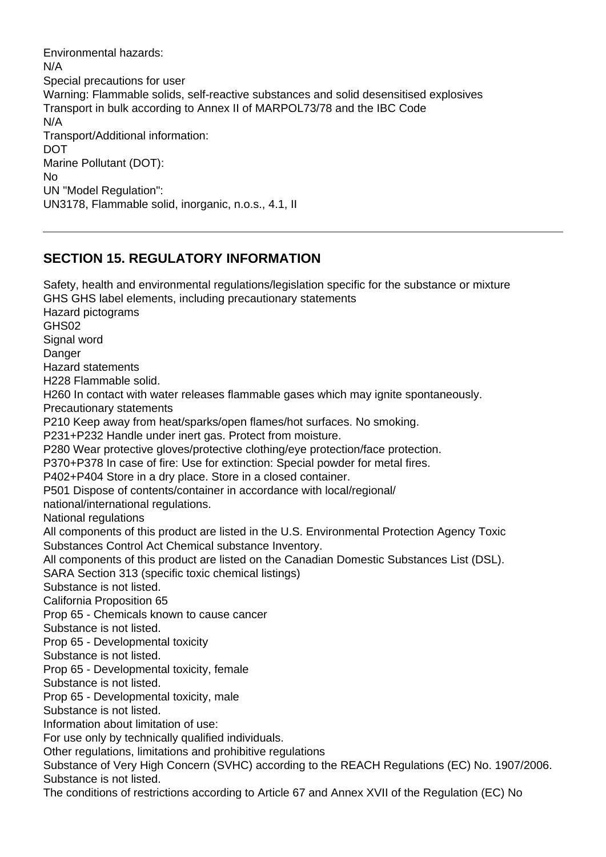Environmental hazards: N/A Special precautions for user Warning: Flammable solids, self-reactive substances and solid desensitised explosives Transport in bulk according to Annex II of MARPOL73/78 and the IBC Code N/A Transport/Additional information: DOT Marine Pollutant (DOT): No UN "Model Regulation": UN3178, Flammable solid, inorganic, n.o.s., 4.1, II

## **SECTION 15. REGULATORY INFORMATION**

Safety, health and environmental regulations/legislation specific for the substance or mixture GHS GHS label elements, including precautionary statements Hazard pictograms GHS02 Signal word **Danger** Hazard statements H228 Flammable solid. H260 In contact with water releases flammable gases which may ignite spontaneously. Precautionary statements P210 Keep away from heat/sparks/open flames/hot surfaces. No smoking. P231+P232 Handle under inert gas. Protect from moisture. P280 Wear protective gloves/protective clothing/eye protection/face protection. P370+P378 In case of fire: Use for extinction: Special powder for metal fires. P402+P404 Store in a dry place. Store in a closed container. P501 Dispose of contents/container in accordance with local/regional/ national/international regulations. National regulations All components of this product are listed in the U.S. Environmental Protection Agency Toxic Substances Control Act Chemical substance Inventory. All components of this product are listed on the Canadian Domestic Substances List (DSL). SARA Section 313 (specific toxic chemical listings) Substance is not listed. California Proposition 65 Prop 65 - Chemicals known to cause cancer Substance is not listed. Prop 65 - Developmental toxicity Substance is not listed. Prop 65 - Developmental toxicity, female Substance is not listed. Prop 65 - Developmental toxicity, male Substance is not listed. Information about limitation of use: For use only by technically qualified individuals. Other regulations, limitations and prohibitive regulations Substance of Very High Concern (SVHC) according to the REACH Regulations (EC) No. 1907/2006. Substance is not listed. The conditions of restrictions according to Article 67 and Annex XVII of the Regulation (EC) No